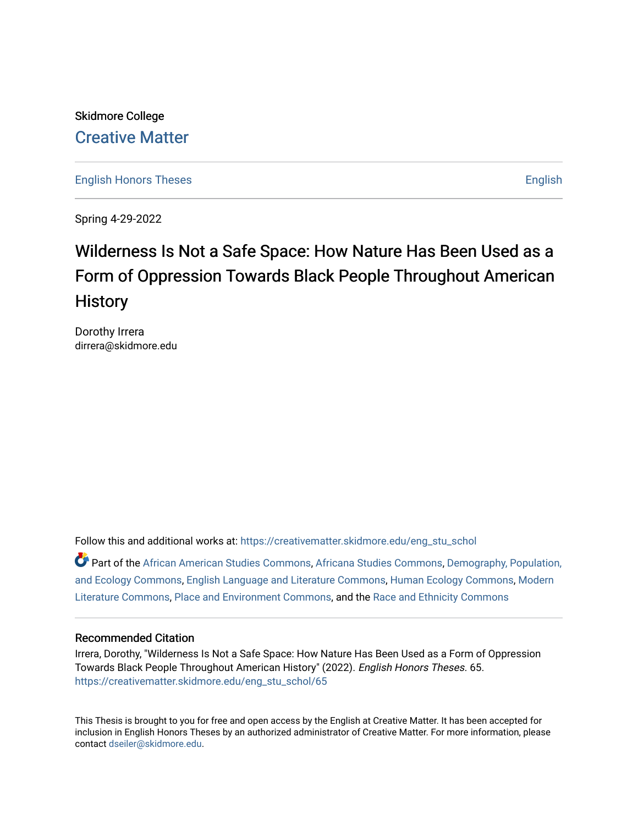Skidmore College [Creative Matter](https://creativematter.skidmore.edu/) 

**[English Honors Theses](https://creativematter.skidmore.edu/eng_stu_schol) English** [English](https://creativematter.skidmore.edu/stu_schol_eng) English English English

Spring 4-29-2022

# Wilderness Is Not a Safe Space: How Nature Has Been Used as a Form of Oppression Towards Black People Throughout American **History**

Dorothy Irrera dirrera@skidmore.edu

Follow this and additional works at: [https://creativematter.skidmore.edu/eng\\_stu\\_schol](https://creativematter.skidmore.edu/eng_stu_schol?utm_source=creativematter.skidmore.edu%2Feng_stu_schol%2F65&utm_medium=PDF&utm_campaign=PDFCoverPages) 

Part of the [African American Studies Commons,](https://network.bepress.com/hgg/discipline/567?utm_source=creativematter.skidmore.edu%2Feng_stu_schol%2F65&utm_medium=PDF&utm_campaign=PDFCoverPages) [Africana Studies Commons,](https://network.bepress.com/hgg/discipline/1418?utm_source=creativematter.skidmore.edu%2Feng_stu_schol%2F65&utm_medium=PDF&utm_campaign=PDFCoverPages) [Demography, Population,](https://network.bepress.com/hgg/discipline/418?utm_source=creativematter.skidmore.edu%2Feng_stu_schol%2F65&utm_medium=PDF&utm_campaign=PDFCoverPages) [and Ecology Commons,](https://network.bepress.com/hgg/discipline/418?utm_source=creativematter.skidmore.edu%2Feng_stu_schol%2F65&utm_medium=PDF&utm_campaign=PDFCoverPages) [English Language and Literature Commons](https://network.bepress.com/hgg/discipline/455?utm_source=creativematter.skidmore.edu%2Feng_stu_schol%2F65&utm_medium=PDF&utm_campaign=PDFCoverPages), [Human Ecology Commons](https://network.bepress.com/hgg/discipline/1335?utm_source=creativematter.skidmore.edu%2Feng_stu_schol%2F65&utm_medium=PDF&utm_campaign=PDFCoverPages), [Modern](https://network.bepress.com/hgg/discipline/1050?utm_source=creativematter.skidmore.edu%2Feng_stu_schol%2F65&utm_medium=PDF&utm_campaign=PDFCoverPages)  [Literature Commons,](https://network.bepress.com/hgg/discipline/1050?utm_source=creativematter.skidmore.edu%2Feng_stu_schol%2F65&utm_medium=PDF&utm_campaign=PDFCoverPages) [Place and Environment Commons](https://network.bepress.com/hgg/discipline/424?utm_source=creativematter.skidmore.edu%2Feng_stu_schol%2F65&utm_medium=PDF&utm_campaign=PDFCoverPages), and the [Race and Ethnicity Commons](https://network.bepress.com/hgg/discipline/426?utm_source=creativematter.skidmore.edu%2Feng_stu_schol%2F65&utm_medium=PDF&utm_campaign=PDFCoverPages)

# Recommended Citation

Irrera, Dorothy, "Wilderness Is Not a Safe Space: How Nature Has Been Used as a Form of Oppression Towards Black People Throughout American History" (2022). English Honors Theses. 65. [https://creativematter.skidmore.edu/eng\\_stu\\_schol/65](https://creativematter.skidmore.edu/eng_stu_schol/65?utm_source=creativematter.skidmore.edu%2Feng_stu_schol%2F65&utm_medium=PDF&utm_campaign=PDFCoverPages)

This Thesis is brought to you for free and open access by the English at Creative Matter. It has been accepted for inclusion in English Honors Theses by an authorized administrator of Creative Matter. For more information, please contact [dseiler@skidmore.edu.](mailto:dseiler@skidmore.edu)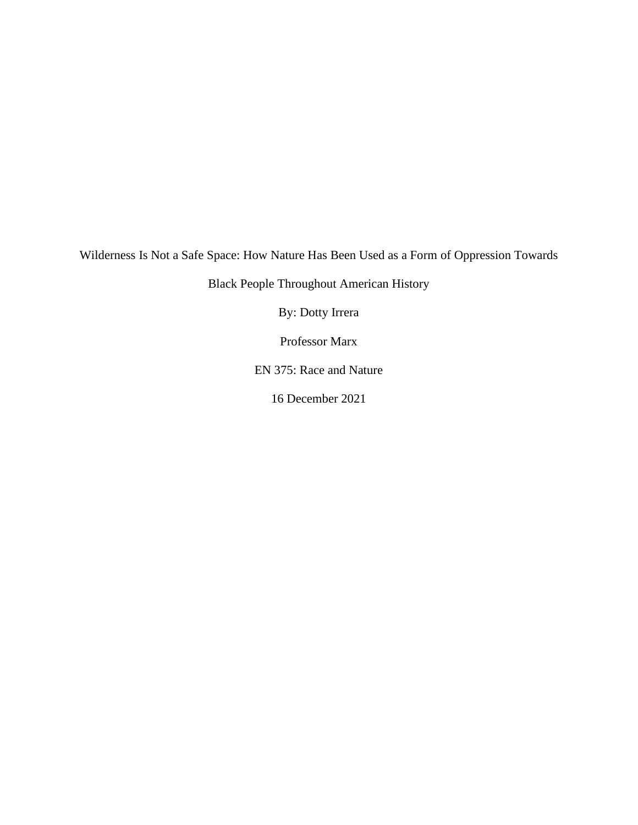Wilderness Is Not a Safe Space: How Nature Has Been Used as a Form of Oppression Towards

Black People Throughout American History

By: Dotty Irrera

Professor Marx

EN 375: Race and Nature

16 December 2021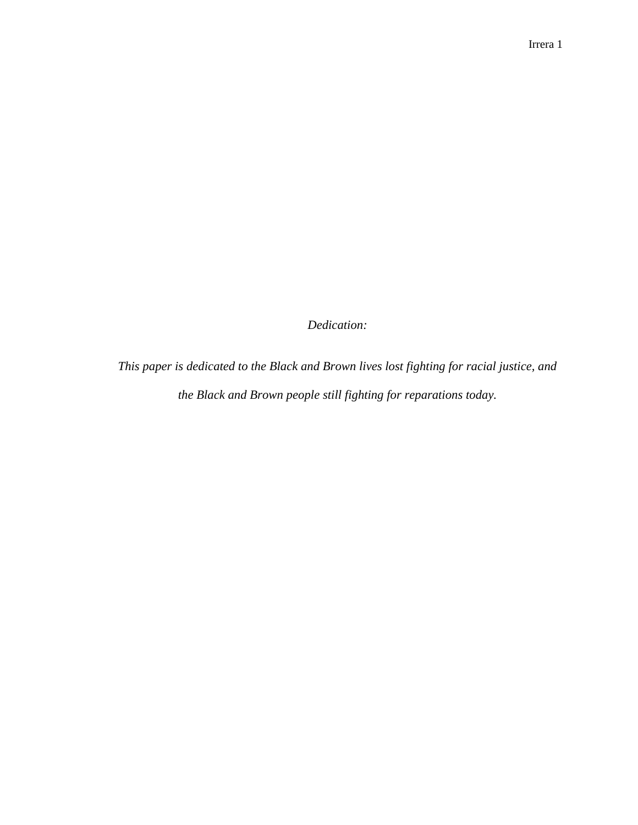*Dedication:*

*This paper is dedicated to the Black and Brown lives lost fighting for racial justice, and the Black and Brown people still fighting for reparations today.*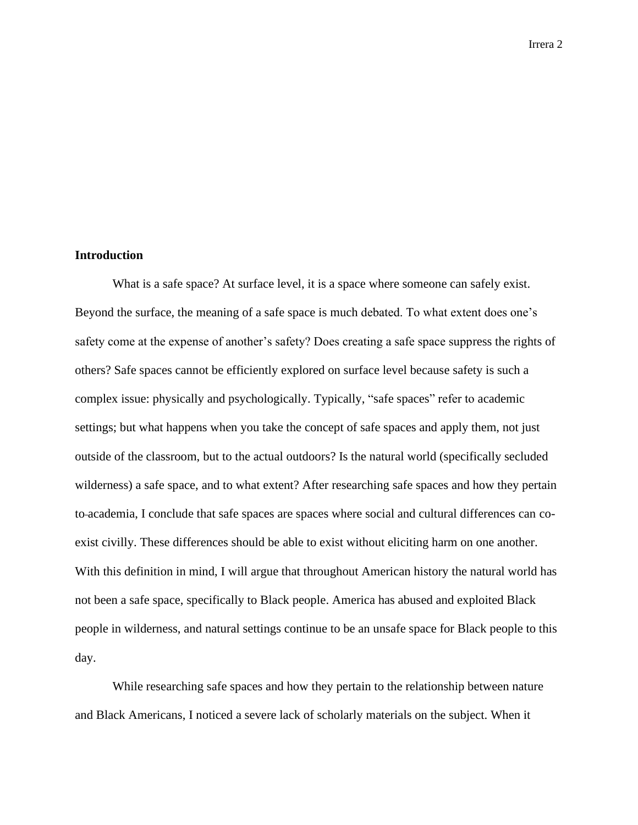# **Introduction**

What is a safe space? At surface level, it is a space where some one can safely exist. Beyond the surface, the meaning of a safe space is much debated. To what extent does one's safety come at the expense of another's safety? Does creating a safe space suppress the rights of others? Safe spaces cannot be efficiently explored on surface level because safety is such a complex issue: physically and psychologically. Typically, "safe spaces" refer to academic settings; but what happens when you take the concept of safe spaces and apply them, not just outside of the classroom, but to the actual outdoors? Is the natural world (specifically secluded wilderness) a safe space, and to what extent? After researching safe spaces and how they pertain to academia, I conclude that safe spaces are spaces where social and cultural differences can coexist civilly. These differences should be able to exist without eliciting harm on one another. With this definition in mind, I will argue that throughout American history the natural world has not been a safe space, specifically to Black people. America has abused and exploited Black people in wilderness, and natural settings continue to be an unsafe space for Black people to this day.

While researching safe spaces and how they pertain to the relationship between nature and Black Americans, I noticed a severe lack of scholarly materials on the subject. When it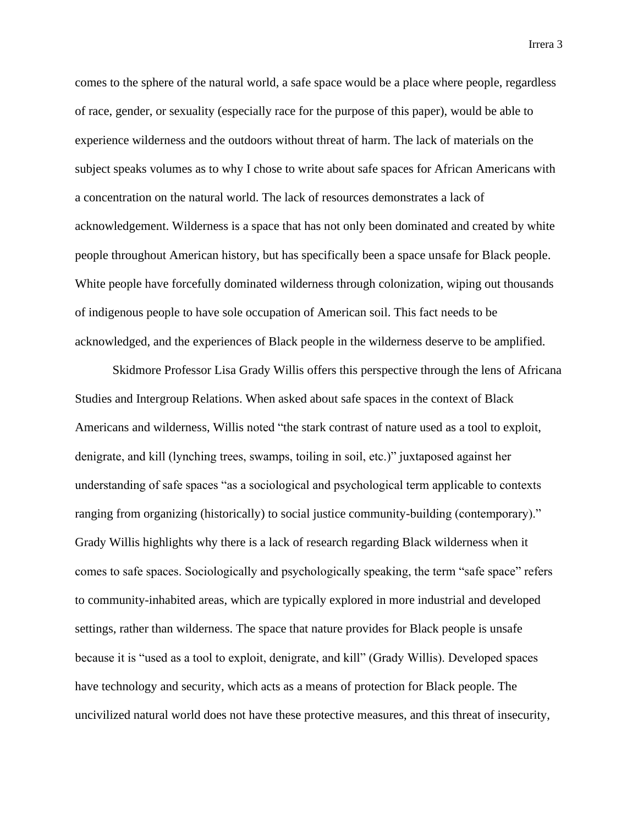comes to the sphere of the natural world, a safe space would be a place where people, regardless of race, gender, or sexuality (especially race for the purpose of this paper), would be able to experience wilderness and the outdoors without threat of harm. The lack of materials on the subject speaks volumes as to why I chose to write about safe spaces for African Americans with a concentration on the natural world. The lack of resources demonstrates a lack of acknowledgement. Wilderness is a space that has not only been dominated and created by white people throughout American history, but has specifically been a space unsafe for Black people. White people have forcefully dominated wilderness through colonization, wiping out thousands of indigenous people to have sole occupation of American soil. This fact needs to be acknowledged, and the experiences of Black people in the wilderness deserve to be amplified.

Skidmore Professor Lisa Grady Willis offers this perspective through the lens of Africana Studies and Intergroup Relations. When asked about safe spaces in the context of Black Americans and wilderness, Willis noted "the stark contrast of nature used as a tool to exploit, denigrate, and kill (lynching trees, swamps, toiling in soil, etc.)" juxtaposed against her understanding of safe spaces "as a sociological and psychological term applicable to contexts ranging from organizing (historically) to social justice community-building (contemporary)." Grady Willis highlights why there is a lack of research regarding Black wilderness when it comes to safe spaces. Sociologically and psychologically speaking, the term "safe space" refers to community-inhabited areas, which are typically explored in more industrial and developed settings, rather than wilderness. The space that nature provides for Black people is unsafe because it is "used as a tool to exploit, denigrate, and kill" (Grady Willis). Developed spaces have technology and security, which acts as a means of protection for Black people. The uncivilized natural world does not have these protective measures, and this threat of insecurity,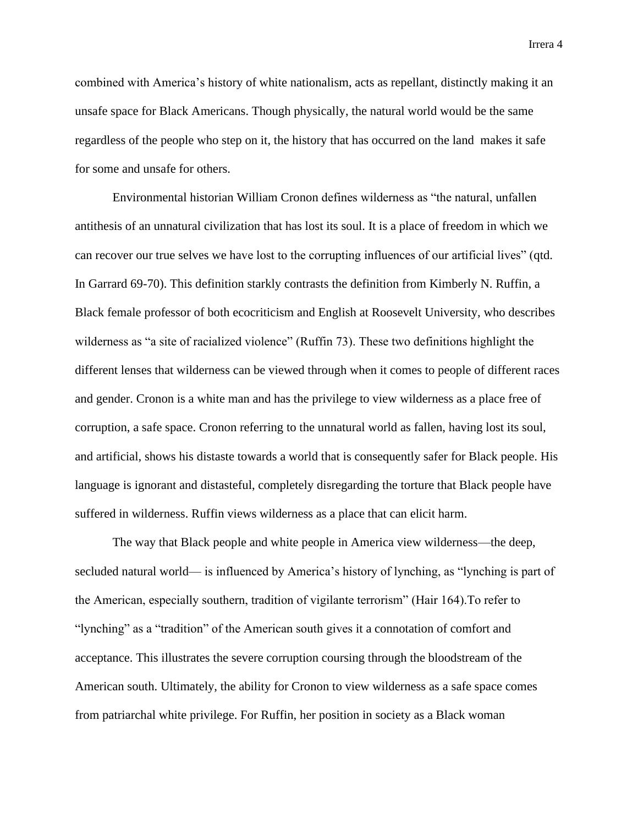combined with America's history of white nationalism, acts as repellant, distinctly making it an unsafe space for Black Americans. Though physically, the natural world would be the same regardless of the people who step on it, the history that has occurred on the land makes it safe for some and unsafe for others.

Environmental historian William Cronon defines wilderness as "the natural, unfallen antithesis of an unnatural civilization that has lost its soul. It is a place of freedom in which we can recover our true selves we have lost to the corrupting influences of our artificial lives" (qtd. In Garrard 69-70). This definition starkly contrasts the definition from Kimberly N. Ruffin, a Black female professor of both ecocriticism and English at Roosevelt University, who describes wilderness as "a site of racialized violence" (Ruffin 73). These two definitions highlight the different lenses that wilderness can be viewed through when it comes to people of different races and gender. Cronon is a white man and has the privilege to view wilderness as a place free of corruption, a safe space. Cronon referring to the unnatural world as fallen, having lost its soul, and artificial, shows his distaste towards a world that is consequently safer for Black people. His language is ignorant and distasteful, completely disregarding the torture that Black people have suffered in wilderness. Ruffin views wilderness as a place that can elicit harm.

The way that Black people and white people in America view wilderness—the deep, secluded natural world— is influenced by America's history of lynching, as "lynching is part of the American, especially southern, tradition of vigilante terrorism" (Hair 164).To refer to "lynching" as a "tradition" of the American south gives it a connotation of comfort and acceptance. This illustrates the severe corruption coursing through the bloodstream of the American south. Ultimately, the ability for Cronon to view wilderness as a safe space comes from patriarchal white privilege. For Ruffin, her position in society as a Black woman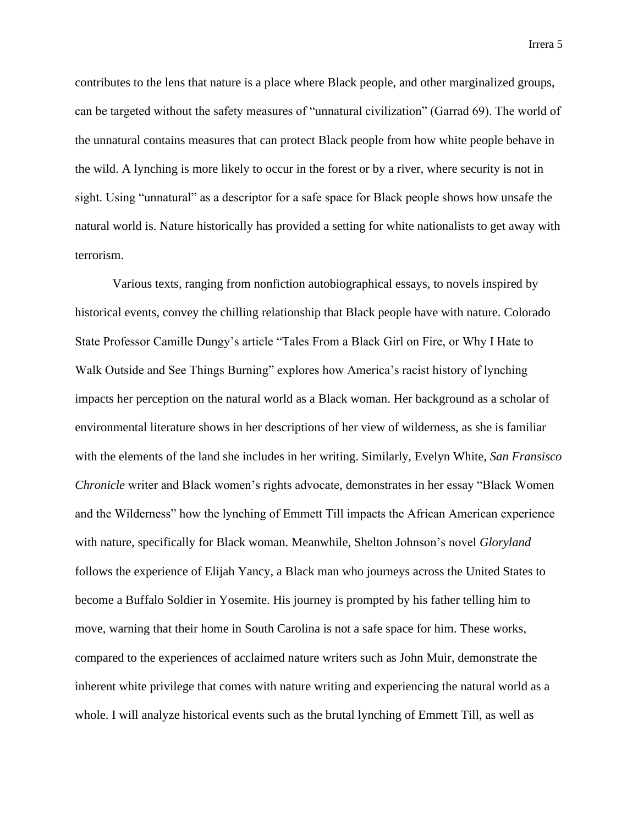contributes to the lens that nature is a place where Black people, and other marginalized groups, can be targeted without the safety measures of "unnatural civilization" (Garrad 69). The world of the unnatural contains measures that can protect Black people from how white people behave in the wild. A lynching is more likely to occur in the forest or by a river, where security is not in sight. Using "unnatural" as a descriptor for a safe space for Black people shows how unsafe the natural world is. Nature historically has provided a setting for white nationalists to get away with terrorism.

Various texts, ranging from nonfiction autobiographical essays, to novels inspired by historical events, convey the chilling relationship that Black people have with nature. Colorado State Professor Camille Dungy's article "Tales From a Black Girl on Fire, or Why I Hate to Walk Outside and See Things Burning" explores how America's racist history of lynching impacts her perception on the natural world as a Black woman. Her background as a scholar of environmental literature shows in her descriptions of her view of wilderness, as she is familiar with the elements of the land she includes in her writing. Similarly, Evelyn White, *San Fransisco Chronicle* writer and Black women's rights advocate, demonstrates in her essay "Black Women and the Wilderness" how the lynching of Emmett Till impacts the African American experience with nature, specifically for Black woman. Meanwhile, Shelton Johnson's novel *Gloryland* follows the experience of Elijah Yancy, a Black man who journeys across the United States to become a Buffalo Soldier in Yosemite. His journey is prompted by his father telling him to move, warning that their home in South Carolina is not a safe space for him. These works, compared to the experiences of acclaimed nature writers such as John Muir, demonstrate the inherent white privilege that comes with nature writing and experiencing the natural world as a whole. I will analyze historical events such as the brutal lynching of Emmett Till, as well as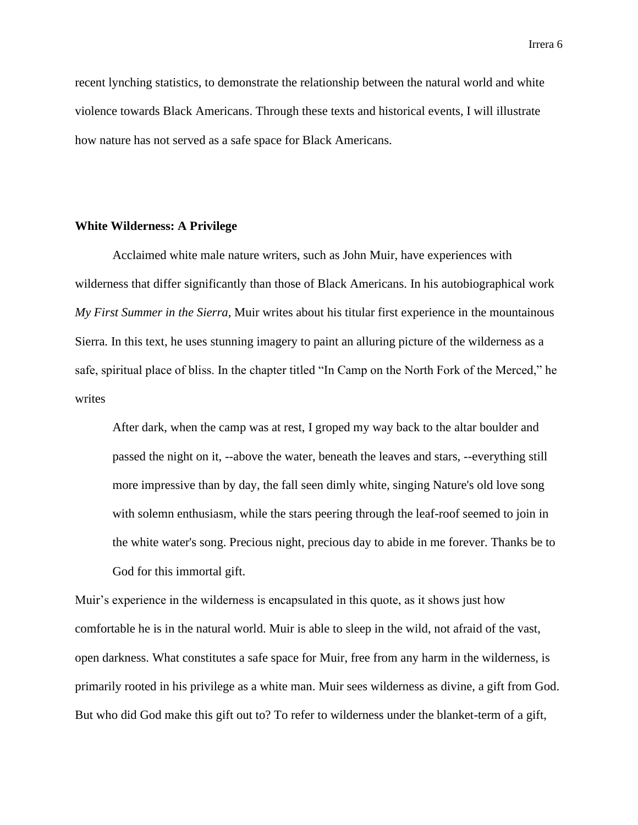recent lynching statistics, to demonstrate the relationship between the natural world and white violence towards Black Americans. Through these texts and historical events, I will illustrate how nature has not served as a safe space for Black Americans.

#### **White Wilderness: A Privilege**

Acclaimed white male nature writers, such as John Muir, have experiences with wilderness that differ significantly than those of Black Americans. In his autobiographical work *My First Summer in the Sierra*, Muir writes about his titular first experience in the mountainous Sierra. In this text, he uses stunning imagery to paint an alluring picture of the wilderness as a safe, spiritual place of bliss. In the chapter titled "In Camp on the North Fork of the Merced," he writes

After dark, when the camp was at rest, I groped my way back to the altar boulder and passed the night on it, --above the water, beneath the leaves and stars, --everything still more impressive than by day, the fall seen dimly white, singing Nature's old love song with solemn enthusiasm, while the stars peering through the leaf-roof seemed to join in the white water's song. Precious night, precious day to abide in me forever. Thanks be to God for this immortal gift.

Muir's experience in the wilderness is encapsulated in this quote, as it shows just how comfortable he is in the natural world. Muir is able to sleep in the wild, not afraid of the vast, open darkness. What constitutes a safe space for Muir, free from any harm in the wilderness, is primarily rooted in his privilege as a white man. Muir sees wilderness as divine, a gift from God. But who did God make this gift out to? To refer to wilderness under the blanket-term of a gift,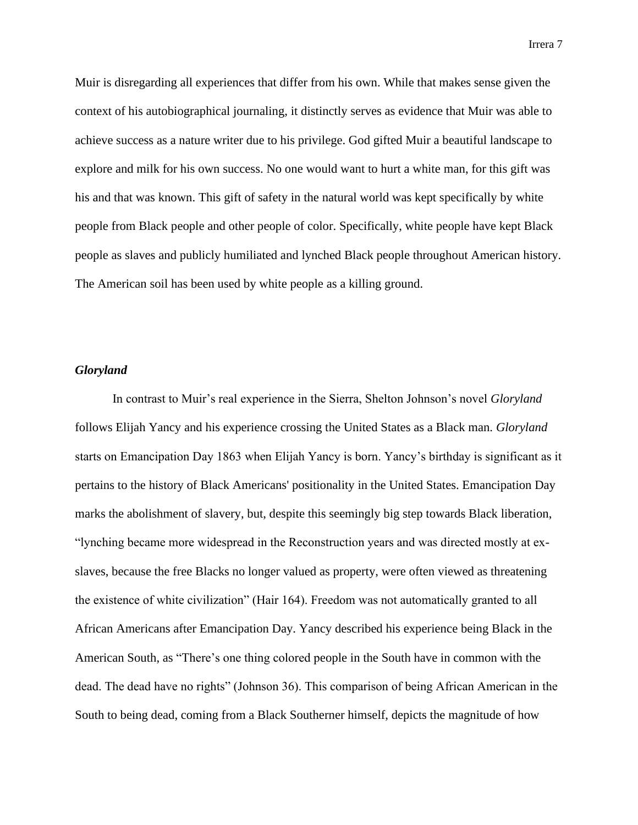Muir is disregarding all experiences that differ from his own. While that makes sense given the context of his autobiographical journaling, it distinctly serves as evidence that Muir was able to achieve success as a nature writer due to his privilege. God gifted Muir a beautiful landscape to explore and milk for his own success. No one would want to hurt a white man, for this gift was his and that was known. This gift of safety in the natural world was kept specifically by white people from Black people and other people of color. Specifically, white people have kept Black people as slaves and publicly humiliated and lynched Black people throughout American history. The American soil has been used by white people as a killing ground.

#### *Gloryland*

In contrast to Muir's real experience in the Sierra, Shelton Johnson's novel *Gloryland* follows Elijah Yancy and his experience crossing the United States as a Black man. *Gloryland* starts on Emancipation Day 1863 when Elijah Yancy is born. Yancy's birthday is significant as it pertains to the history of Black Americans' positionality in the United States. Emancipation Day marks the abolishment of slavery, but, despite this seemingly big step towards Black liberation, "lynching became more widespread in the Reconstruction years and was directed mostly at exslaves, because the free Blacks no longer valued as property, were often viewed as threatening the existence of white civilization" (Hair 164). Freedom was not automatically granted to all African Americans after Emancipation Day. Yancy described his experience being Black in the American South, as "There's one thing colored people in the South have in common with the dead. The dead have no rights" (Johnson 36). This comparison of being African American in the South to being dead, coming from a Black Southerner himself, depicts the magnitude of how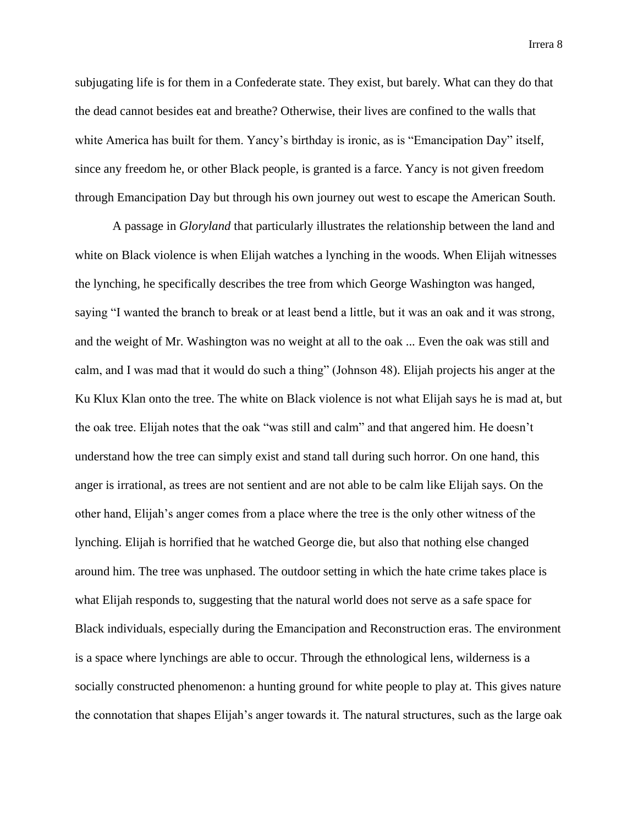subjugating life is for them in a Confederate state. They exist, but barely. What can they do that the dead cannot besides eat and breathe? Otherwise, their lives are confined to the walls that white America has built for them. Yancy's birthday is ironic, as is "Emancipation Day" itself, since any freedom he, or other Black people, is granted is a farce. Yancy is not given freedom through Emancipation Day but through his own journey out west to escape the American South.

A passage in *Gloryland* that particularly illustrates the relationship between the land and white on Black violence is when Elijah watches a lynching in the woods. When Elijah witnesses the lynching, he specifically describes the tree from which George Washington was hanged, saying "I wanted the branch to break or at least bend a little, but it was an oak and it was strong, and the weight of Mr. Washington was no weight at all to the oak ... Even the oak was still and calm, and I was mad that it would do such a thing" (Johnson 48). Elijah projects his anger at the Ku Klux Klan onto the tree. The white on Black violence is not what Elijah says he is mad at, but the oak tree. Elijah notes that the oak "was still and calm" and that angered him. He doesn't understand how the tree can simply exist and stand tall during such horror. On one hand, this anger is irrational, as trees are not sentient and are not able to be calm like Elijah says. On the other hand, Elijah's anger comes from a place where the tree is the only other witness of the lynching. Elijah is horrified that he watched George die, but also that nothing else changed around him. The tree was unphased. The outdoor setting in which the hate crime takes place is what Elijah responds to, suggesting that the natural world does not serve as a safe space for Black individuals, especially during the Emancipation and Reconstruction eras. The environment is a space where lynchings are able to occur. Through the ethnological lens, wilderness is a socially constructed phenomenon: a hunting ground for white people to play at. This gives nature the connotation that shapes Elijah's anger towards it. The natural structures, such as the large oak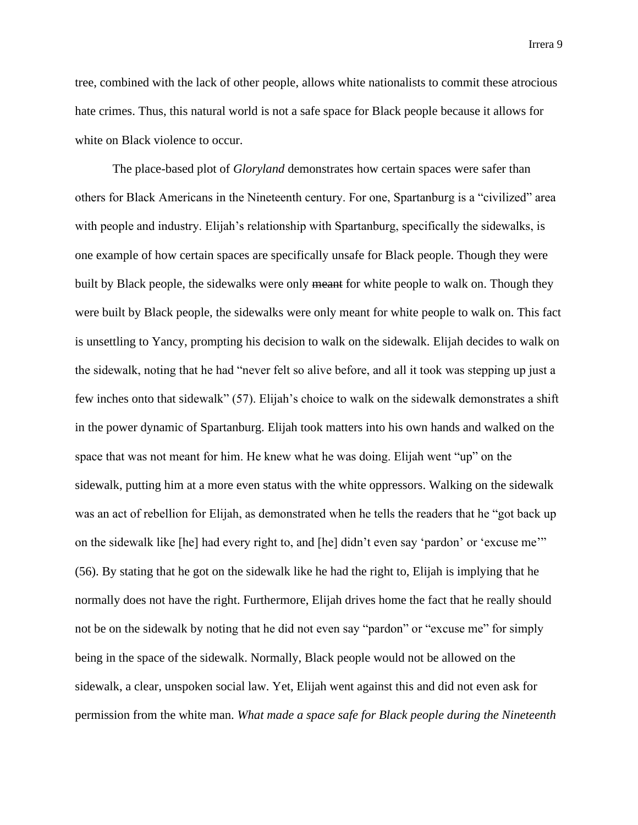tree, combined with the lack of other people, allows white nationalists to commit these atrocious hate crimes. Thus, this natural world is not a safe space for Black people because it allows for white on Black violence to occur.

The place-based plot of *Gloryland* demonstrates how certain spaces were safer than others for Black Americans in the Nineteenth century. For one, Spartanburg is a "civilized" area with people and industry. Elijah's relationship with Spartanburg, specifically the sidewalks, is one example of how certain spaces are specifically unsafe for Black people. Though they were built by Black people, the sidewalks were only meant for white people to walk on. Though they were built by Black people, the sidewalks were only meant for white people to walk on. This fact is unsettling to Yancy, prompting his decision to walk on the sidewalk. Elijah decides to walk on the sidewalk, noting that he had "never felt so alive before, and all it took was stepping up just a few inches onto that sidewalk" (57). Elijah's choice to walk on the sidewalk demonstrates a shift in the power dynamic of Spartanburg. Elijah took matters into his own hands and walked on the space that was not meant for him. He knew what he was doing. Elijah went "up" on the sidewalk, putting him at a more even status with the white oppressors. Walking on the sidewalk was an act of rebellion for Elijah, as demonstrated when he tells the readers that he "got back up on the sidewalk like [he] had every right to, and [he] didn't even say 'pardon' or 'excuse me'" (56). By stating that he got on the sidewalk like he had the right to, Elijah is implying that he normally does not have the right. Furthermore, Elijah drives home the fact that he really should not be on the sidewalk by noting that he did not even say "pardon" or "excuse me" for simply being in the space of the sidewalk. Normally, Black people would not be allowed on the sidewalk, a clear, unspoken social law. Yet, Elijah went against this and did not even ask for permission from the white man. *What made a space safe for Black people during the Nineteenth*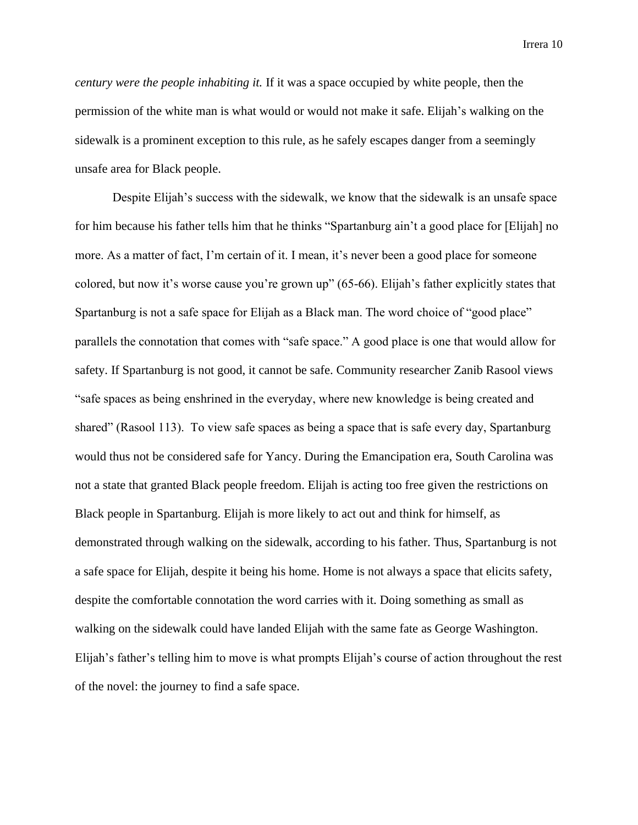*century were the people inhabiting it.* If it was a space occupied by white people, then the permission of the white man is what would or would not make it safe. Elijah's walking on the sidewalk is a prominent exception to this rule, as he safely escapes danger from a seemingly unsafe area for Black people.

Despite Elijah's success with the sidewalk, we know that the sidewalk is an unsafe space for him because his father tells him that he thinks "Spartanburg ain't a good place for [Elijah] no more. As a matter of fact, I'm certain of it. I mean, it's never been a good place for someone colored, but now it's worse cause you're grown up" (65-66). Elijah's father explicitly states that Spartanburg is not a safe space for Elijah as a Black man. The word choice of "good place" parallels the connotation that comes with "safe space." A good place is one that would allow for safety. If Spartanburg is not good, it cannot be safe. Community researcher Zanib Rasool views "safe spaces as being enshrined in the everyday, where new knowledge is being created and shared" (Rasool 113). To view safe spaces as being a space that is safe every day, Spartanburg would thus not be considered safe for Yancy. During the Emancipation era, South Carolina was not a state that granted Black people freedom. Elijah is acting too free given the restrictions on Black people in Spartanburg. Elijah is more likely to act out and think for himself, as demonstrated through walking on the sidewalk, according to his father. Thus, Spartanburg is not a safe space for Elijah, despite it being his home. Home is not always a space that elicits safety, despite the comfortable connotation the word carries with it. Doing something as small as walking on the sidewalk could have landed Elijah with the same fate as George Washington. Elijah's father's telling him to move is what prompts Elijah's course of action throughout the rest of the novel: the journey to find a safe space.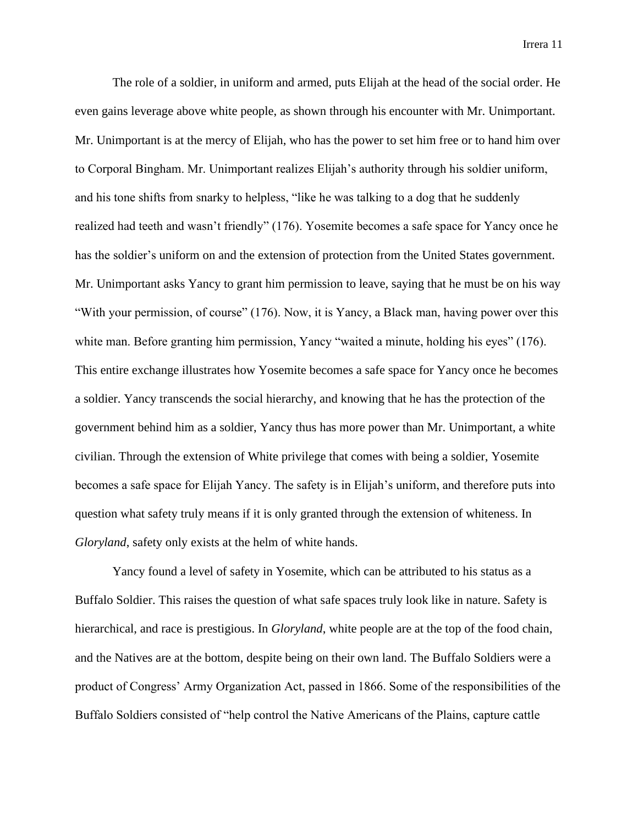The role of a soldier, in uniform and armed, puts Elijah at the head of the social order. He even gains leverage above white people, as shown through his encounter with Mr. Unimportant. Mr. Unimportant is at the mercy of Elijah, who has the power to set him free or to hand him over to Corporal Bingham. Mr. Unimportant realizes Elijah's authority through his soldier uniform, and his tone shifts from snarky to helpless, "like he was talking to a dog that he suddenly realized had teeth and wasn't friendly" (176). Yosemite becomes a safe space for Yancy once he has the soldier's uniform on and the extension of protection from the United States government. Mr. Unimportant asks Yancy to grant him permission to leave, saying that he must be on his way "With your permission, of course" (176). Now, it is Yancy, a Black man, having power over this white man. Before granting him permission, Yancy "waited a minute, holding his eyes" (176). This entire exchange illustrates how Yosemite becomes a safe space for Yancy once he becomes a soldier. Yancy transcends the social hierarchy, and knowing that he has the protection of the government behind him as a soldier, Yancy thus has more power than Mr. Unimportant, a white civilian. Through the extension of White privilege that comes with being a soldier, Yosemite becomes a safe space for Elijah Yancy. The safety is in Elijah's uniform, and therefore puts into question what safety truly means if it is only granted through the extension of whiteness. In *Gloryland*, safety only exists at the helm of white hands.

Yancy found a level of safety in Yosemite, which can be attributed to his status as a Buffalo Soldier. This raises the question of what safe spaces truly look like in nature. Safety is hierarchical, and race is prestigious. In *Gloryland*, white people are at the top of the food chain, and the Natives are at the bottom, despite being on their own land. The Buffalo Soldiers were a product of Congress' Army Organization Act, passed in 1866. Some of the responsibilities of the Buffalo Soldiers consisted of "help control the Native Americans of the Plains, capture cattle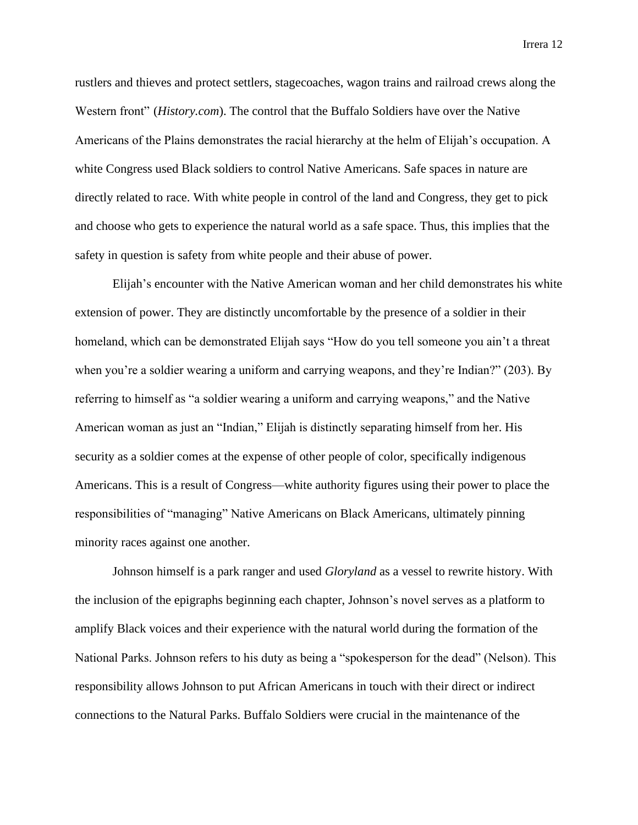rustlers and thieves and protect settlers, stagecoaches, wagon trains and railroad crews along the Western front" (*History.com*). The control that the Buffalo Soldiers have over the Native Americans of the Plains demonstrates the racial hierarchy at the helm of Elijah's occupation. A white Congress used Black soldiers to control Native Americans. Safe spaces in nature are directly related to race. With white people in control of the land and Congress, they get to pick and choose who gets to experience the natural world as a safe space. Thus, this implies that the safety in question is safety from white people and their abuse of power.

Elijah's encounter with the Native American woman and her child demonstrates his white extension of power. They are distinctly uncomfortable by the presence of a soldier in their homeland, which can be demonstrated Elijah says "How do you tell someone you ain't a threat when you're a soldier wearing a uniform and carrying weapons, and they're Indian?" (203). By referring to himself as "a soldier wearing a uniform and carrying weapons," and the Native American woman as just an "Indian," Elijah is distinctly separating himself from her. His security as a soldier comes at the expense of other people of color, specifically indigenous Americans. This is a result of Congress—white authority figures using their power to place the responsibilities of "managing" Native Americans on Black Americans, ultimately pinning minority races against one another.

Johnson himself is a park ranger and used *Gloryland* as a vessel to rewrite history. With the inclusion of the epigraphs beginning each chapter, Johnson's novel serves as a platform to amplify Black voices and their experience with the natural world during the formation of the National Parks. Johnson refers to his duty as being a "spokesperson for the dead" (Nelson). This responsibility allows Johnson to put African Americans in touch with their direct or indirect connections to the Natural Parks. Buffalo Soldiers were crucial in the maintenance of the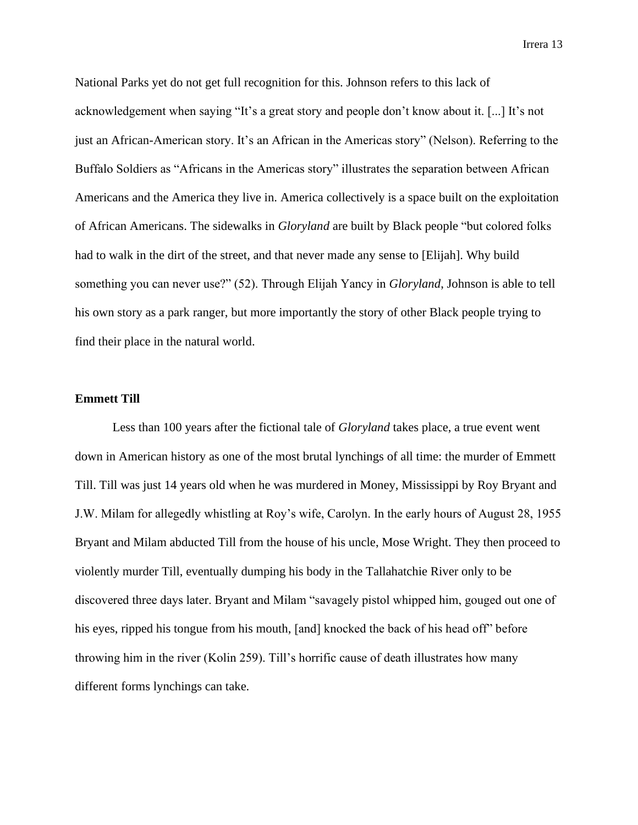National Parks yet do not get full recognition for this. Johnson refers to this lack of acknowledgement when saying "It's a great story and people don't know about it. [...] It's not just an African-American story. It's an African in the Americas story" (Nelson). Referring to the Buffalo Soldiers as "Africans in the Americas story" illustrates the separation between African Americans and the America they live in. America collectively is a space built on the exploitation of African Americans. The sidewalks in *Gloryland* are built by Black people "but colored folks had to walk in the dirt of the street, and that never made any sense to [Elijah]. Why build something you can never use?" (52). Through Elijah Yancy in *Gloryland*, Johnson is able to tell his own story as a park ranger, but more importantly the story of other Black people trying to find their place in the natural world.

## **Emmett Till**

Less than 100 years after the fictional tale of *Gloryland* takes place, a true event went down in American history as one of the most brutal lynchings of all time: the murder of Emmett Till. Till was just 14 years old when he was murdered in Money, Mississippi by Roy Bryant and J.W. Milam for allegedly whistling at Roy's wife, Carolyn. In the early hours of August 28, 1955 Bryant and Milam abducted Till from the house of his uncle, Mose Wright. They then proceed to violently murder Till, eventually dumping his body in the Tallahatchie River only to be discovered three days later. Bryant and Milam "savagely pistol whipped him, gouged out one of his eyes, ripped his tongue from his mouth, [and] knocked the back of his head off" before throwing him in the river (Kolin 259). Till's horrific cause of death illustrates how many different forms lynchings can take.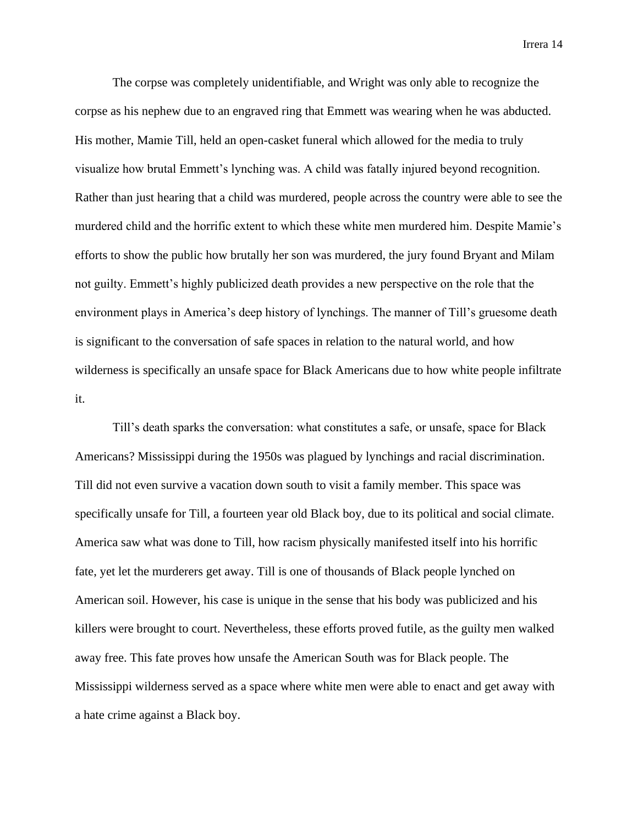The corpse was completely unidentifiable, and Wright was only able to recognize the corpse as his nephew due to an engraved ring that Emmett was wearing when he was abducted. His mother, Mamie Till, held an open-casket funeral which allowed for the media to truly visualize how brutal Emmett's lynching was. A child was fatally injured beyond recognition. Rather than just hearing that a child was murdered, people across the country were able to see the murdered child and the horrific extent to which these white men murdered him. Despite Mamie's efforts to show the public how brutally her son was murdered, the jury found Bryant and Milam not guilty. Emmett's highly publicized death provides a new perspective on the role that the environment plays in America's deep history of lynchings. The manner of Till's gruesome death is significant to the conversation of safe spaces in relation to the natural world, and how wilderness is specifically an unsafe space for Black Americans due to how white people infiltrate it.

Till's death sparks the conversation: what constitutes a safe, or unsafe, space for Black Americans? Mississippi during the 1950s was plagued by lynchings and racial discrimination. Till did not even survive a vacation down south to visit a family member. This space was specifically unsafe for Till, a fourteen year old Black boy, due to its political and social climate. America saw what was done to Till, how racism physically manifested itself into his horrific fate, yet let the murderers get away. Till is one of thousands of Black people lynched on American soil. However, his case is unique in the sense that his body was publicized and his killers were brought to court. Nevertheless, these efforts proved futile, as the guilty men walked away free. This fate proves how unsafe the American South was for Black people. The Mississippi wilderness served as a space where white men were able to enact and get away with a hate crime against a Black boy.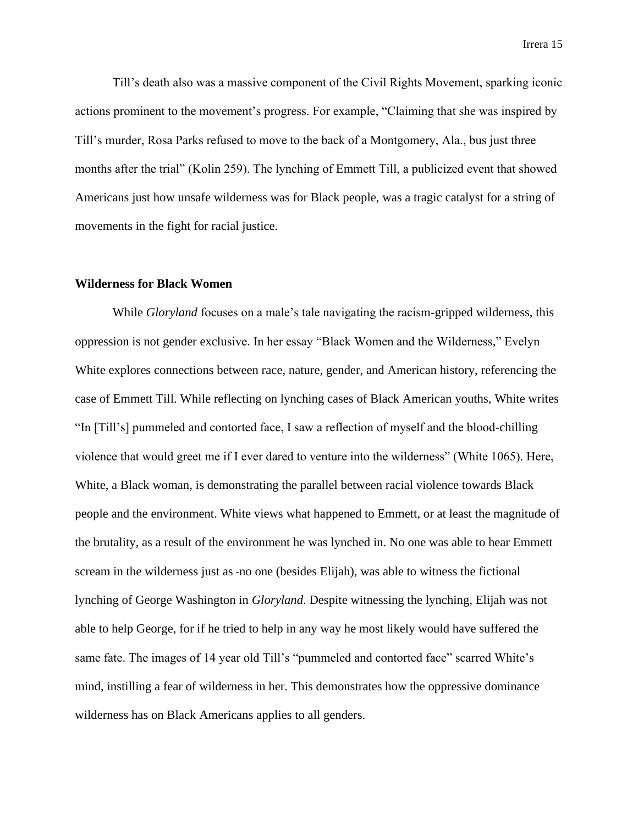Till's death also was a massive component of the Civil Rights Movement, sparking iconic actions prominent to the movement's progress. For example, "Claiming that she was inspired by Till's murder, Rosa Parks refused to move to the back of a Montgomery, Ala., bus just three months after the trial" (Kolin 259). The lynching of Emmett Till, a publicized event that showed Americans just how unsafe wilderness was for Black people, was a tragic catalyst for a string of movements in the fight for racial justice.

## **Wilderness for Black Women**

While *Gloryland* focuses on a male's tale navigating the racism-gripped wilderness, this oppression is not gender exclusive. In her essay "Black Women and the Wilderness," Evelyn White explores connections between race, nature, gender, and American history, referencing the case of Emmett Till. While reflecting on lynching cases of Black American youths, White writes "In [Till's] pummeled and contorted face, I saw a reflection of myself and the blood-chilling violence that would greet me if I ever dared to venture into the wilderness" (White 1065). Here, White, a Black woman, is demonstrating the parallel between racial violence towards Black people and the environment. White views what happened to Emmett, or at least the magnitude of the brutality, as a result of the environment he was lynched in. No one was able to hear Emmett scream in the wilderness just as -no one (besides Elijah), was able to witness the fictional lynching of George Washington in *Gloryland*. Despite witnessing the lynching, Elijah was not able to help George, for if he tried to help in any way he most likely would have suffered the same fate. The images of 14 year old Till's "pummeled and contorted face" scarred White's mind, instilling a fear of wilderness in her. This demonstrates how the oppressive dominance wilderness has on Black Americans applies to all genders.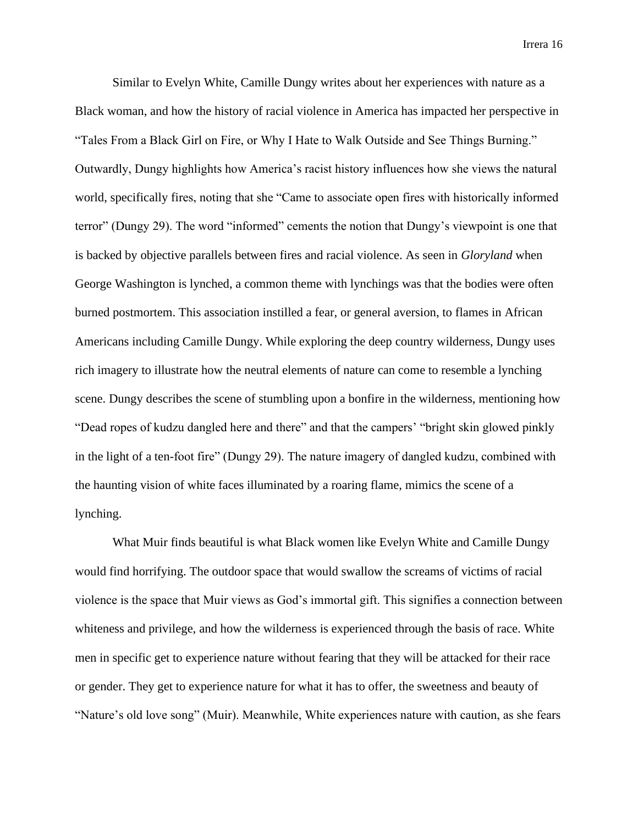Similar to Evelyn White, Camille Dungy writes about her experiences with nature as a Black woman, and how the history of racial violence in America has impacted her perspective in "Tales From a Black Girl on Fire, or Why I Hate to Walk Outside and See Things Burning." Outwardly, Dungy highlights how America's racist history influences how she views the natural world, specifically fires, noting that she "Came to associate open fires with historically informed terror" (Dungy 29). The word "informed" cements the notion that Dungy's viewpoint is one that is backed by objective parallels between fires and racial violence. As seen in *Gloryland* when George Washington is lynched, a common theme with lynchings was that the bodies were often burned postmortem. This association instilled a fear, or general aversion, to flames in African Americans including Camille Dungy. While exploring the deep country wilderness, Dungy uses rich imagery to illustrate how the neutral elements of nature can come to resemble a lynching scene. Dungy describes the scene of stumbling upon a bonfire in the wilderness, mentioning how "Dead ropes of kudzu dangled here and there" and that the campers' "bright skin glowed pinkly in the light of a ten-foot fire" (Dungy 29). The nature imagery of dangled kudzu, combined with the haunting vision of white faces illuminated by a roaring flame, mimics the scene of a lynching.

What Muir finds beautiful is what Black women like Evelyn White and Camille Dungy would find horrifying. The outdoor space that would swallow the screams of victims of racial violence is the space that Muir views as God's immortal gift. This signifies a connection between whiteness and privilege, and how the wilderness is experienced through the basis of race. White men in specific get to experience nature without fearing that they will be attacked for their race or gender. They get to experience nature for what it has to offer, the sweetness and beauty of "Nature's old love song" (Muir). Meanwhile, White experiences nature with caution, as she fears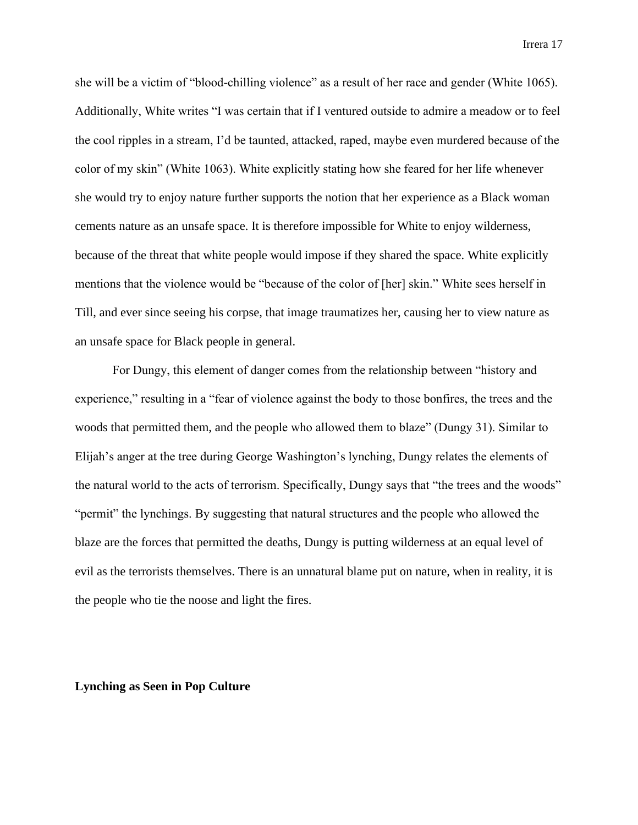she will be a victim of "blood-chilling violence" as a result of her race and gender (White 1065). Additionally, White writes "I was certain that if I ventured outside to admire a meadow or to feel the cool ripples in a stream, I'd be taunted, attacked, raped, maybe even murdered because of the color of my skin" (White 1063). White explicitly stating how she feared for her life whenever she would try to enjoy nature further supports the notion that her experience as a Black woman cements nature as an unsafe space. It is therefore impossible for White to enjoy wilderness, because of the threat that white people would impose if they shared the space. White explicitly mentions that the violence would be "because of the color of [her] skin." White sees herself in Till, and ever since seeing his corpse, that image traumatizes her, causing her to view nature as an unsafe space for Black people in general.

For Dungy, this element of danger comes from the relationship between "history and experience," resulting in a "fear of violence against the body to those bonfires, the trees and the woods that permitted them, and the people who allowed them to blaze" (Dungy 31). Similar to Elijah's anger at the tree during George Washington's lynching, Dungy relates the elements of the natural world to the acts of terrorism. Specifically, Dungy says that "the trees and the woods" "permit" the lynchings. By suggesting that natural structures and the people who allowed the blaze are the forces that permitted the deaths, Dungy is putting wilderness at an equal level of evil as the terrorists themselves. There is an unnatural blame put on nature, when in reality, it is the people who tie the noose and light the fires.

## **Lynching as Seen in Pop Culture**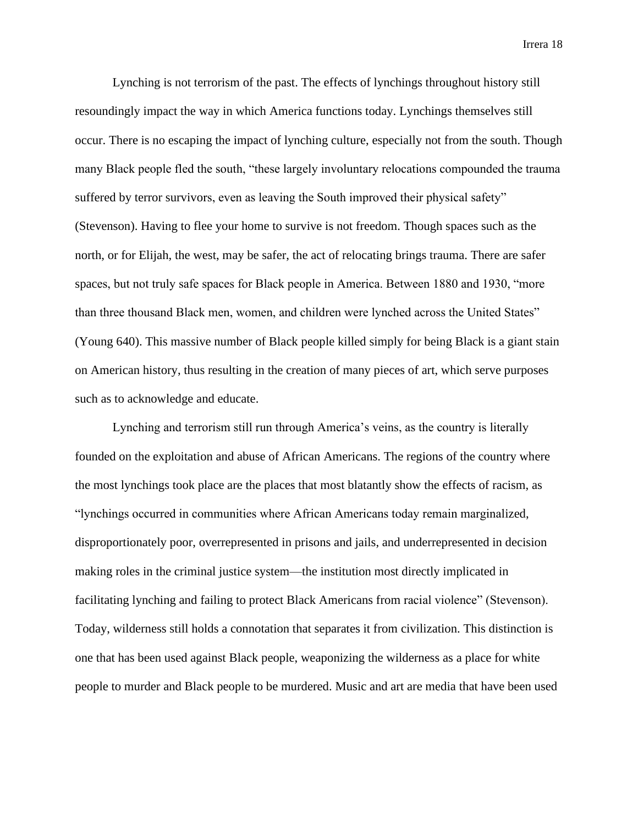Lynching is not terrorism of the past. The effects of lynchings throughout history still resoundingly impact the way in which America functions today. Lynchings themselves still occur. There is no escaping the impact of lynching culture, especially not from the south. Though many Black people fled the south, "these largely involuntary relocations compounded the trauma suffered by terror survivors, even as leaving the South improved their physical safety" (Stevenson). Having to flee your home to survive is not freedom. Though spaces such as the north, or for Elijah, the west, may be safer, the act of relocating brings trauma. There are safer spaces, but not truly safe spaces for Black people in America. Between 1880 and 1930, "more than three thousand Black men, women, and children were lynched across the United States" (Young 640). This massive number of Black people killed simply for being Black is a giant stain on American history, thus resulting in the creation of many pieces of art, which serve purposes such as to acknowledge and educate.

Lynching and terrorism still run through America's veins, as the country is literally founded on the exploitation and abuse of African Americans. The regions of the country where the most lynchings took place are the places that most blatantly show the effects of racism, as "lynchings occurred in communities where African Americans today remain marginalized, disproportionately poor, overrepresented in prisons and jails, and underrepresented in decision making roles in the criminal justice system—the institution most directly implicated in facilitating lynching and failing to protect Black Americans from racial violence" (Stevenson). Today, wilderness still holds a connotation that separates it from civilization. This distinction is one that has been used against Black people, weaponizing the wilderness as a place for white people to murder and Black people to be murdered. Music and art are media that have been used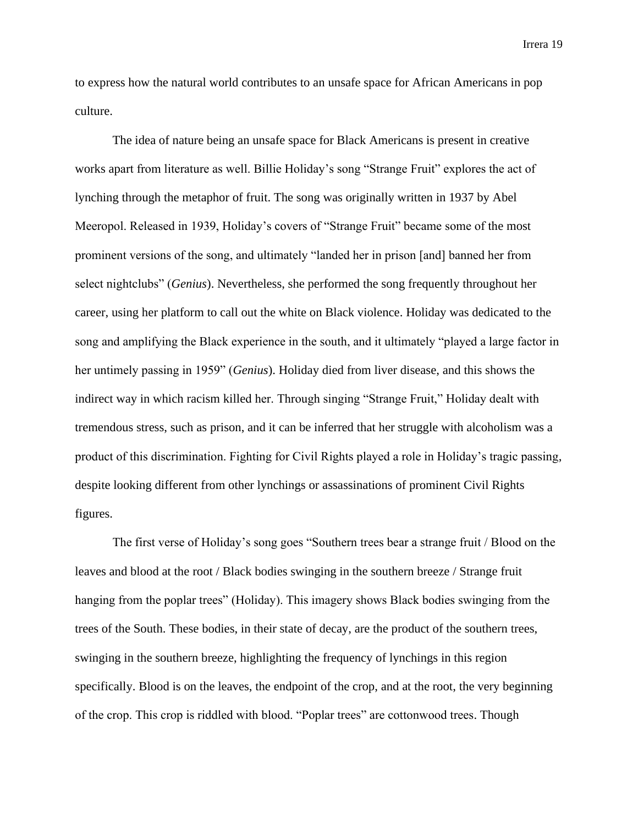to express how the natural world contributes to an unsafe space for African Americans in pop culture.

The idea of nature being an unsafe space for Black Americans is present in creative works apart from literature as well. Billie Holiday's song "Strange Fruit" explores the act of lynching through the metaphor of fruit. The song was originally written in 1937 by Abel Meeropol. Released in 1939, Holiday's covers of "Strange Fruit" became some of the most prominent versions of the song, and ultimately "landed her in prison [and] banned her from select nightclubs" (*Genius*). Nevertheless, she performed the song frequently throughout her career, using her platform to call out the white on Black violence. Holiday was dedicated to the song and amplifying the Black experience in the south, and it ultimately "played a large factor in her untimely passing in 1959" (*Genius*). Holiday died from liver disease, and this shows the indirect way in which racism killed her. Through singing "Strange Fruit," Holiday dealt with tremendous stress, such as prison, and it can be inferred that her struggle with alcoholism was a product of this discrimination. Fighting for Civil Rights played a role in Holiday's tragic passing, despite looking different from other lynchings or assassinations of prominent Civil Rights figures.

The first verse of Holiday's song goes "Southern trees bear a strange fruit / Blood on the leaves and blood at the root / Black bodies swinging in the southern breeze / Strange fruit hanging from the poplar trees" (Holiday). This imagery shows Black bodies swinging from the trees of the South. These bodies, in their state of decay, are the product of the southern trees, swinging in the southern breeze, highlighting the frequency of lynchings in this region specifically. Blood is on the leaves, the endpoint of the crop, and at the root, the very beginning of the crop. This crop is riddled with blood. "Poplar trees" are cottonwood trees. Though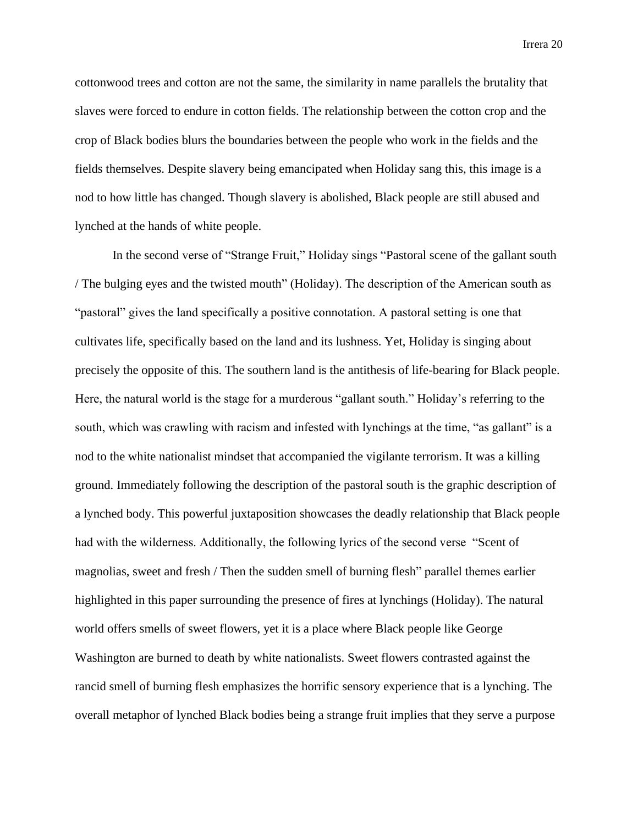cottonwood trees and cotton are not the same, the similarity in name parallels the brutality that slaves were forced to endure in cotton fields. The relationship between the cotton crop and the crop of Black bodies blurs the boundaries between the people who work in the fields and the fields themselves. Despite slavery being emancipated when Holiday sang this, this image is a nod to how little has changed. Though slavery is abolished, Black people are still abused and lynched at the hands of white people.

In the second verse of "Strange Fruit," Holiday sings ["Pastoral scene of the gallant south](https://genius.com/1964732/Billie-holiday-strange-fruit/Pastoral-scene-of-the-gallant-south) / [The bulging eyes and the twisted mouth"](https://genius.com/2513009/Billie-holiday-strange-fruit/The-bulging-eyes-and-the-twisted-mouth) (Holiday). The description of the American south as "pastoral" gives the land specifically a positive connotation. A pastoral setting is one that cultivates life, specifically based on the land and its lushness. Yet, Holiday is singing about precisely the opposite of this. The southern land is the antithesis of life-bearing for Black people. Here, the natural world is the stage for a murderous "gallant south." Holiday's referring to the south, which was crawling with racism and infested with lynchings at the time, "as gallant" is a nod to the white nationalist mindset that accompanied the vigilante terrorism. It was a killing ground. Immediately following the description of the pastoral south is the graphic description of a lynched body. This powerful juxtaposition showcases the deadly relationship that Black people had with the wilderness. Additionally, the following lyrics of the second verse ["Scent of](https://genius.com/16611387/Billie-holiday-strange-fruit/Scent-of-magnolias-sweet-and-fresh)  [magnolias, sweet and fresh](https://genius.com/16611387/Billie-holiday-strange-fruit/Scent-of-magnolias-sweet-and-fresh) / [Then the sudden smell of burning flesh"](https://genius.com/16611393/Billie-holiday-strange-fruit/Then-the-sudden-smell-of-burning-flesh) parallel themes earlier highlighted in this paper surrounding the presence of fires at lynchings (Holiday). The natural world offers smells of sweet flowers, yet it is a place where Black people like George Washington are burned to death by white nationalists. Sweet flowers contrasted against the rancid smell of burning flesh emphasizes the horrific sensory experience that is a lynching. The overall metaphor of lynched Black bodies being a strange fruit implies that they serve a purpose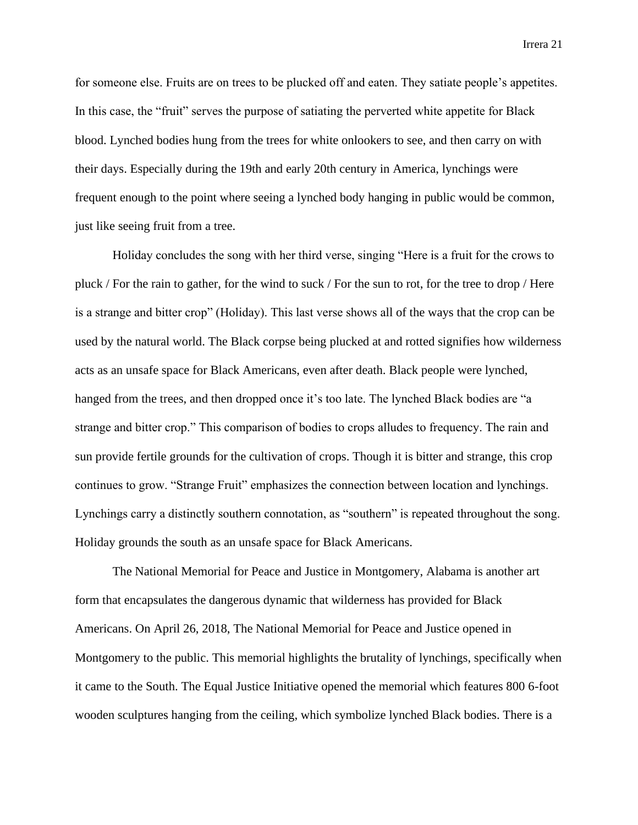for someone else. Fruits are on trees to be plucked off and eaten. They satiate people's appetites. In this case, the "fruit" serves the purpose of satiating the perverted white appetite for Black blood. Lynched bodies hung from the trees for white onlookers to see, and then carry on with their days. Especially during the 19th and early 20th century in America, lynchings were frequent enough to the point where seeing a lynched body hanging in public would be common, just like seeing fruit from a tree.

Holiday concludes the song with her third verse, singing "Here is a fruit for the crows to pluck / For the rain to gather, for the wind to suck / For the sun to rot, for the tree to drop / Here is a strange and bitter crop" (Holiday). This last verse shows all of the ways that the crop can be used by the natural world. The Black corpse being plucked at and rotted signifies how wilderness acts as an unsafe space for Black Americans, even after death. Black people were lynched, hanged from the trees, and then dropped once it's too late. The lynched Black bodies are "a strange and bitter crop." This comparison of bodies to crops alludes to frequency. The rain and sun provide fertile grounds for the cultivation of crops. Though it is bitter and strange, this crop continues to grow. "Strange Fruit" emphasizes the connection between location and lynchings. Lynchings carry a distinctly southern connotation, as "southern" is repeated throughout the song. Holiday grounds the south as an unsafe space for Black Americans.

The National Memorial for Peace and Justice in Montgomery, Alabama is another art form that encapsulates the dangerous dynamic that wilderness has provided for Black Americans. On April 26, 2018, The National Memorial for Peace and Justice opened in Montgomery to the public. This memorial highlights the brutality of lynchings, specifically when it came to the South. The Equal Justice Initiative opened the memorial which features 800 6-foot wooden sculptures hanging from the ceiling, which symbolize lynched Black bodies. There is a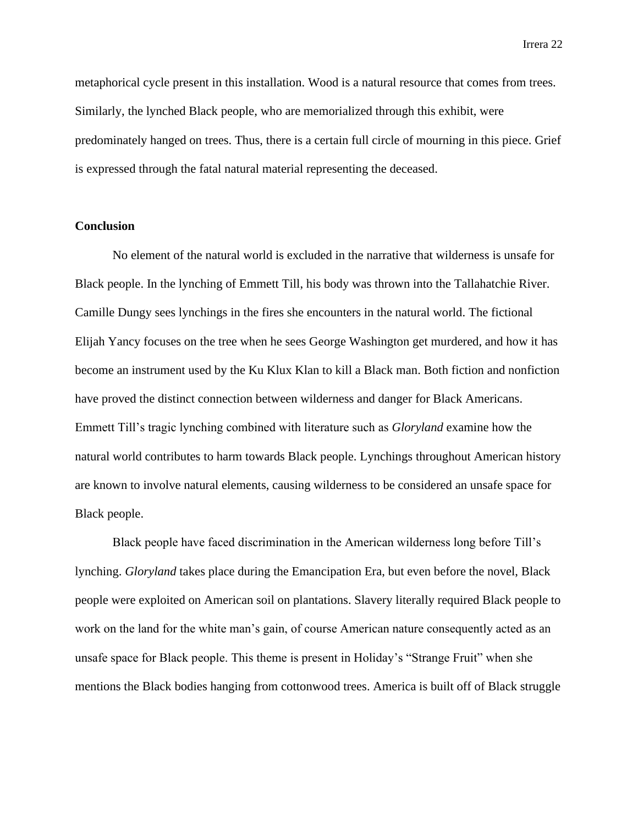metaphorical cycle present in this installation. Wood is a natural resource that comes from trees. Similarly, the lynched Black people, who are memorialized through this exhibit, were predominately hanged on trees. Thus, there is a certain full circle of mourning in this piece. Grief is expressed through the fatal natural material representing the deceased.

## **Conclusion**

No element of the natural world is excluded in the narrative that wilderness is unsafe for Black people. In the lynching of Emmett Till, his body was thrown into the Tallahatchie River. Camille Dungy sees lynchings in the fires she encounters in the natural world. The fictional Elijah Yancy focuses on the tree when he sees George Washington get murdered, and how it has become an instrument used by the Ku Klux Klan to kill a Black man. Both fiction and nonfiction have proved the distinct connection between wilderness and danger for Black Americans. Emmett Till's tragic lynching combined with literature such as *Gloryland* examine how the natural world contributes to harm towards Black people. Lynchings throughout American history are known to involve natural elements, causing wilderness to be considered an unsafe space for Black people.

Black people have faced discrimination in the American wilderness long before Till's lynching. *Gloryland* takes place during the Emancipation Era, but even before the novel, Black people were exploited on American soil on plantations. Slavery literally required Black people to work on the land for the white man's gain, of course American nature consequently acted as an unsafe space for Black people. This theme is present in Holiday's "Strange Fruit" when she mentions the Black bodies hanging from cottonwood trees. America is built off of Black struggle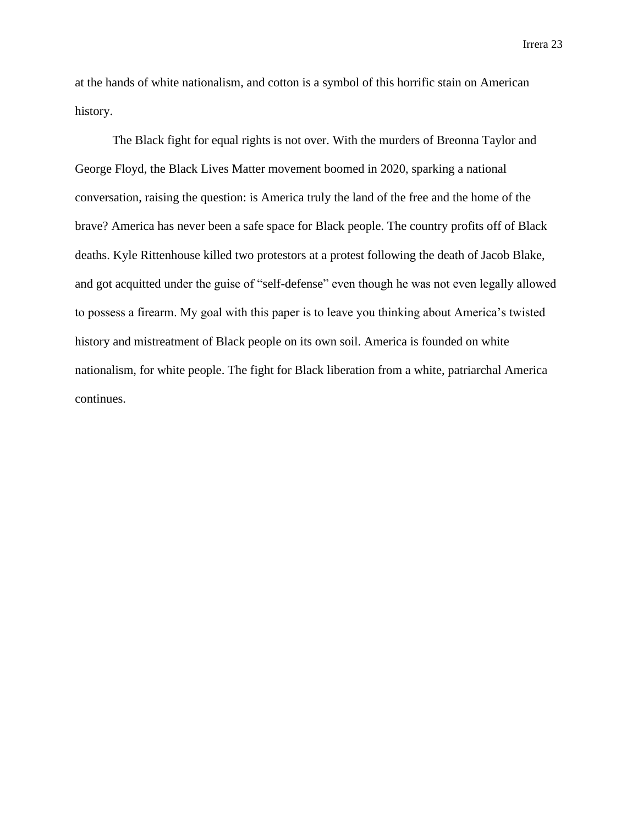at the hands of white nationalism, and cotton is a symbol of this horrific stain on American history.

The Black fight for equal rights is not over. With the murders of Breonna Taylor and George Floyd, the Black Lives Matter movement boomed in 2020, sparking a national conversation, raising the question: is America truly the land of the free and the home of the brave? America has never been a safe space for Black people. The country profits off of Black deaths. Kyle Rittenhouse killed two protestors at a protest following the death of Jacob Blake, and got acquitted under the guise of "self-defense" even though he was not even legally allowed to possess a firearm. My goal with this paper is to leave you thinking about America's twisted history and mistreatment of Black people on its own soil. America is founded on white nationalism, for white people. The fight for Black liberation from a white, patriarchal America continues.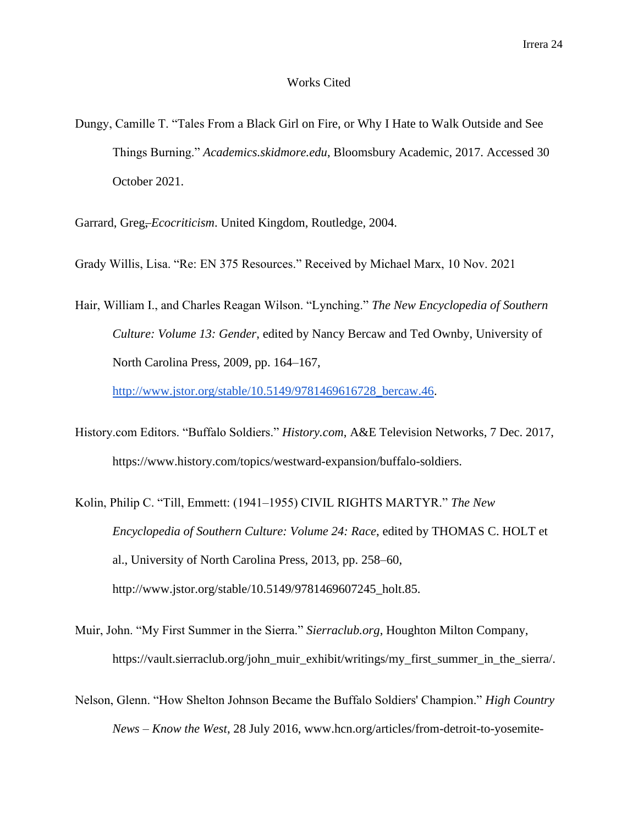#### Works Cited

Dungy, Camille T. "Tales From a Black Girl on Fire, or Why I Hate to Walk Outside and See Things Burning." *Academics.skidmore.edu*, Bloomsbury Academic, 2017. Accessed 30 October 2021.

Garrard, Greg, *Ecocriticism*. United Kingdom, Routledge, 2004.

Grady Willis, Lisa. "Re: EN 375 Resources." Received by Michael Marx, 10 Nov. 2021

Hair, William I., and Charles Reagan Wilson. "Lynching." *The New Encyclopedia of Southern Culture: Volume 13: Gender*, edited by Nancy Bercaw and Ted Ownby, University of North Carolina Press, 2009, pp. 164–167,

[http://www.jstor.org/stable/10.5149/9781469616728\\_bercaw.46.](http://www.jstor.org/stable/10.5149/9781469616728_bercaw.46)

- History.com Editors. "Buffalo Soldiers." *History.com*, A&E Television Networks, 7 Dec. 2017, https://www.history.com/topics/westward-expansion/buffalo-soldiers.
- Kolin, Philip C. "Till, Emmett: (1941–1955) CIVIL RIGHTS MARTYR." *The New Encyclopedia of Southern Culture: Volume 24: Race*, edited by THOMAS C. HOLT et al., University of North Carolina Press, 2013, pp. 258–60, http://www.jstor.org/stable/10.5149/9781469607245\_holt.85.
- Muir, John. "My First Summer in the Sierra." *Sierraclub.org*, Houghton Milton Company, https://vault.sierraclub.org/john\_muir\_exhibit/writings/my\_first\_summer\_in\_the\_sierra/.
- Nelson, Glenn. "How Shelton Johnson Became the Buffalo Soldiers' Champion." *High Country News – Know the West*, 28 July 2016, www.hcn.org/articles/from-detroit-to-yosemite-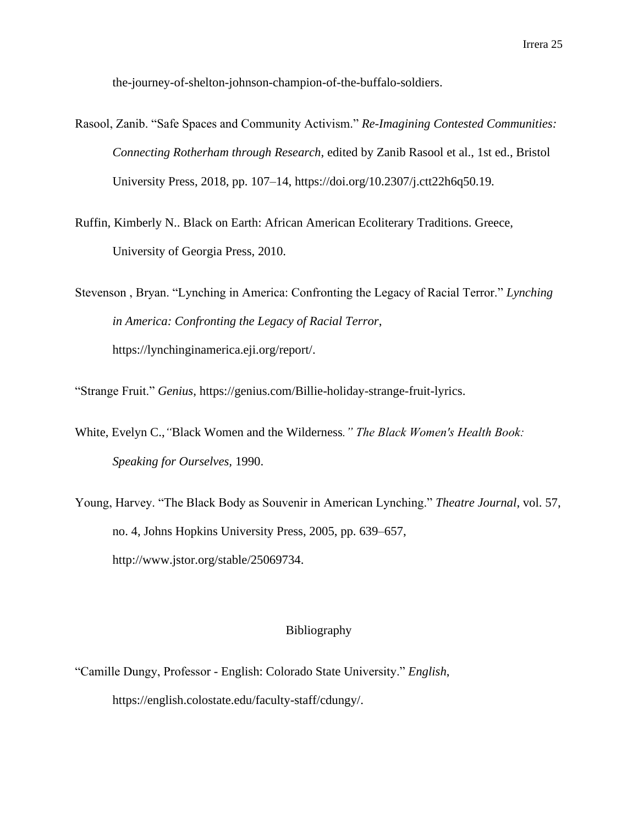the-journey-of-shelton-johnson-champion-of-the-buffalo-soldiers.

- Rasool, Zanib. "Safe Spaces and Community Activism." *Re-Imagining Contested Communities: Connecting Rotherham through Research*, edited by Zanib Rasool et al., 1st ed., Bristol University Press, 2018, pp. 107–14, https://doi.org/10.2307/j.ctt22h6q50.19.
- Ruffin, Kimberly N.. Black on Earth: African American Ecoliterary Traditions. Greece, University of Georgia Press, 2010.
- Stevenson , Bryan. "Lynching in America: Confronting the Legacy of Racial Terror." *Lynching in America: Confronting the Legacy of Racial Terror*, https://lynchinginamerica.eji.org/report/.

"Strange Fruit." *Genius*, https://genius.com/Billie-holiday-strange-fruit-lyrics.

- White, Evelyn C.,*"*Black Women and the Wilderness*." The Black Women's Health Book: Speaking for Ourselves,* 1990.
- Young, Harvey. "The Black Body as Souvenir in American Lynching." *Theatre Journal*, vol. 57, no. 4, Johns Hopkins University Press, 2005, pp. 639–657, http://www.jstor.org/stable/25069734.

# Bibliography

"Camille Dungy, Professor - English: Colorado State University." *English*, https://english.colostate.edu/faculty-staff/cdungy/.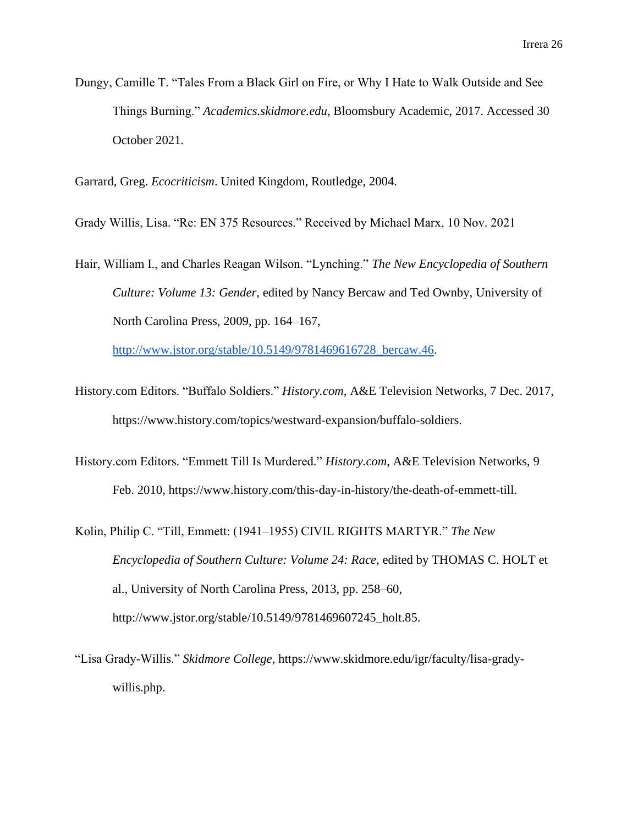Dungy, Camille T. "Tales From a Black Girl on Fire, or Why I Hate to Walk Outside and See Things Burning." *Academics.skidmore.edu*, Bloomsbury Academic, 2017. Accessed 30 October 2021.

Garrard, Greg. *Ecocriticism*. United Kingdom, Routledge, 2004.

Grady Willis, Lisa. "Re: EN 375 Resources." Received by Michael Marx, 10 Nov. 2021

Hair, William I., and Charles Reagan Wilson. "Lynching." *The New Encyclopedia of Southern Culture: Volume 13: Gender*, edited by Nancy Bercaw and Ted Ownby, University of North Carolina Press, 2009, pp. 164–167,

[http://www.jstor.org/stable/10.5149/9781469616728\\_bercaw.46.](http://www.jstor.org/stable/10.5149/9781469616728_bercaw.46)

- History.com Editors. "Buffalo Soldiers." *History.com*, A&E Television Networks, 7 Dec. 2017, https://www.history.com/topics/westward-expansion/buffalo-soldiers.
- History.com Editors. "Emmett Till Is Murdered." *History.com*, A&E Television Networks, 9 Feb. 2010, https://www.history.com/this-day-in-history/the-death-of-emmett-till.
- Kolin, Philip C. "Till, Emmett: (1941–1955) CIVIL RIGHTS MARTYR." *The New Encyclopedia of Southern Culture: Volume 24: Race*, edited by THOMAS C. HOLT et al., University of North Carolina Press, 2013, pp. 258–60, http://www.jstor.org/stable/10.5149/9781469607245\_holt.85.
- "Lisa Grady-Willis." *Skidmore College*, https://www.skidmore.edu/igr/faculty/lisa-gradywillis.php.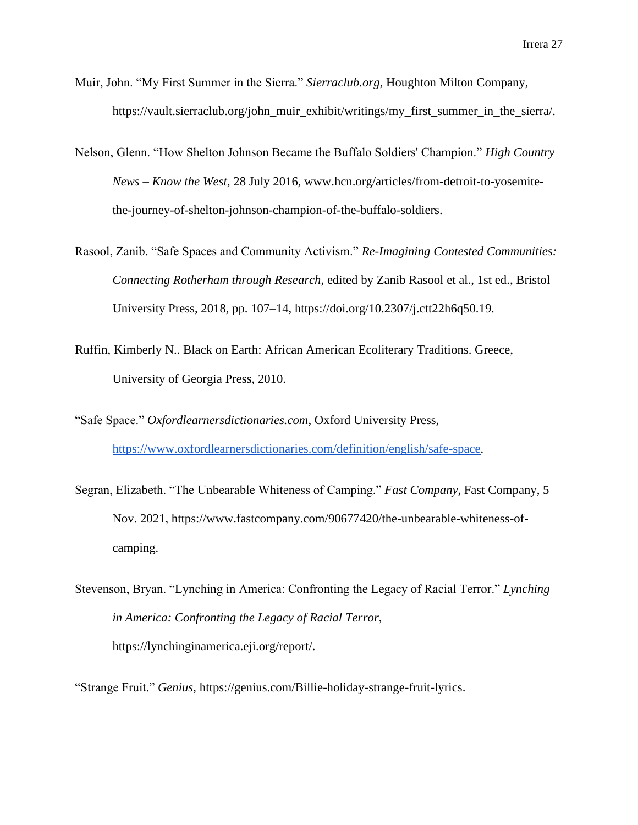- Muir, John. "My First Summer in the Sierra." *Sierraclub.org*, Houghton Milton Company, https://vault.sierraclub.org/john\_muir\_exhibit/writings/my\_first\_summer\_in\_the\_sierra/.
- Nelson, Glenn. "How Shelton Johnson Became the Buffalo Soldiers' Champion." *High Country News – Know the West*, 28 July 2016, www.hcn.org/articles/from-detroit-to-yosemitethe-journey-of-shelton-johnson-champion-of-the-buffalo-soldiers.
- Rasool, Zanib. "Safe Spaces and Community Activism." *Re-Imagining Contested Communities: Connecting Rotherham through Research*, edited by Zanib Rasool et al., 1st ed., Bristol University Press, 2018, pp. 107–14, https://doi.org/10.2307/j.ctt22h6q50.19.
- Ruffin, Kimberly N.. Black on Earth: African American Ecoliterary Traditions. Greece, University of Georgia Press, 2010.
- "Safe Space." *Oxfordlearnersdictionaries.com*, Oxford University Press, [https://www.oxfordlearnersdictionaries.com/definition/english/safe-space.](https://www.oxfordlearnersdictionaries.com/definition/english/safe-space)
- Segran, Elizabeth. "The Unbearable Whiteness of Camping." *Fast Company*, Fast Company, 5 Nov. 2021, https://www.fastcompany.com/90677420/the-unbearable-whiteness-ofcamping.
- Stevenson, Bryan. "Lynching in America: Confronting the Legacy of Racial Terror." *Lynching in America: Confronting the Legacy of Racial Terror*, https://lynchinginamerica.eji.org/report/.
- "Strange Fruit." *Genius*, https://genius.com/Billie-holiday-strange-fruit-lyrics.